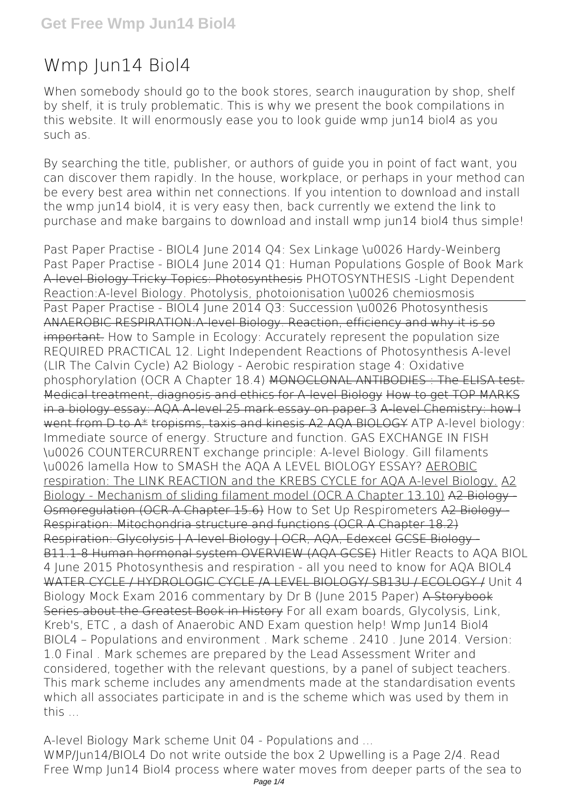# **Wmp Jun14 Biol4**

When somebody should go to the book stores, search inauguration by shop, shelf by shelf, it is truly problematic. This is why we present the book compilations in this website. It will enormously ease you to look guide **wmp jun14 biol4** as you such as.

By searching the title, publisher, or authors of guide you in point of fact want, you can discover them rapidly. In the house, workplace, or perhaps in your method can be every best area within net connections. If you intention to download and install the wmp jun14 biol4, it is very easy then, back currently we extend the link to purchase and make bargains to download and install wmp jun14 biol4 thus simple!

Past Paper Practise - BIOL4 June 2014 Q4: Sex Linkage \u0026 Hardy-Weinberg Past Paper Practise - BIOL4 June 2014 Q1: Human Populations Gosple of Book Mark A-level Biology Tricky Topics: Photosynthesis **PHOTOSYNTHESIS -Light Dependent Reaction:A-level Biology. Photolysis, photoionisation \u0026 chemiosmosis** Past Paper Practise - BIOL4 June 2014 Q3: Succession \u0026 Photosynthesis ANAEROBIC RESPIRATION:A-level Biology. Reaction, efficiency and why it is so important. **How to Sample in Ecology: Accurately represent the population size REQUIRED PRACTICAL 12.** Light Independent Reactions of Photosynthesis A-level (LIR The Calvin Cycle) *A2 Biology - Aerobic respiration stage 4: Oxidative phosphorylation (OCR A Chapter 18.4)* MONOCLONAL ANTIBODIES : The ELISA test. Medical treatment, diagnosis and ethics for A-level Biology How to get TOP MARKS in a biology essay: AQA A-level 25 mark essay on paper 3 A-level Chemistry: how I went from D to A\* tropisms, taxis and kinesis A2 AQA BIOLOGY *ATP A-level biology: Immediate source of energy. Structure and function. GAS EXCHANGE IN FISH \u0026 COUNTERCURRENT exchange principle: A-level Biology. Gill filaments \u0026 lamella How to SMASH the AQA A LEVEL BIOLOGY ESSAY?* AEROBIC respiration: The LINK REACTION and the KREBS CYCLE for AQA A-level Biology. A2 Biology - Mechanism of sliding filament model (OCR A Chapter 13.10) A2 Biology - Osmoregulation (OCR A Chapter 15.6) *How to Set Up Respirometers* A2 Biology - Respiration: Mitochondria structure and functions (OCR A Chapter 18.2) Respiration: Glycolysis | A-level Biology | OCR, AQA, Edexcel GCSE Biology - B11.1-8 Human hormonal system OVERVIEW (AQA GCSE) *Hitler Reacts to AQA BIOL 4 June 2015* **Photosynthesis and respiration - all you need to know for AQA BIOL4** WATER CYCLE / HYDROLOGIC CYCLE /A LEVEL BIOLOGY/ SB13U / ECOLOGY / **Unit 4 Biology Mock Exam 2016 commentary by Dr B (June 2015 Paper)** A Storybook Series about the Greatest Book in History For all exam boards, Glycolysis, Link, Kreb's, ETC , a dash of Anaerobic AND Exam question help! *Wmp Jun14 Biol4* BIOL4 – Populations and environment . Mark scheme . 2410 . June 2014. Version: 1.0 Final . Mark schemes are prepared by the Lead Assessment Writer and considered, together with the relevant questions, by a panel of subject teachers. This mark scheme includes any amendments made at the standardisation events which all associates participate in and is the scheme which was used by them in this ...

*A-level Biology Mark scheme Unit 04 - Populations and ...* WMP/Jun14/BIOL4 Do not write outside the box 2 Upwelling is a Page 2/4. Read Free Wmp Jun14 Biol4 process where water moves from deeper parts of the sea to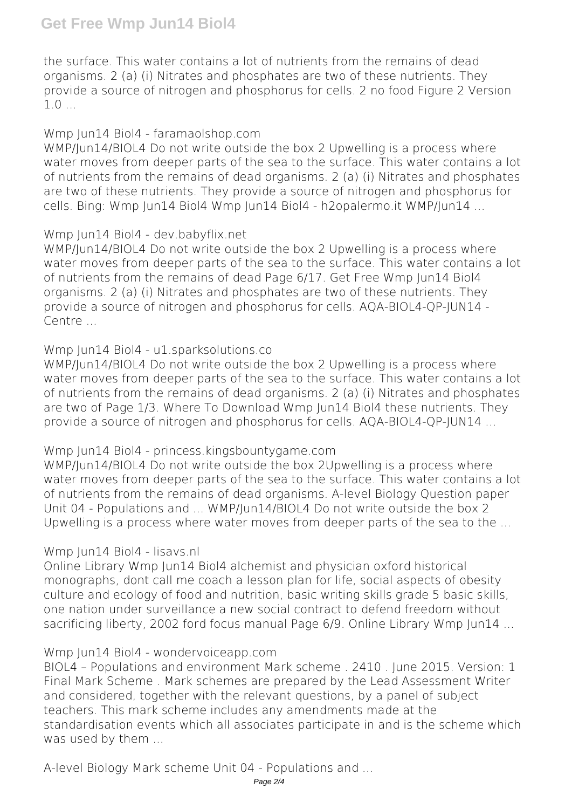the surface. This water contains a lot of nutrients from the remains of dead organisms. 2 (a) (i) Nitrates and phosphates are two of these nutrients. They provide a source of nitrogen and phosphorus for cells. 2 no food Figure 2 Version  $1.0...$ 

#### *Wmp Jun14 Biol4 - faramaolshop.com*

WMP/Jun14/BIOL4 Do not write outside the box 2 Upwelling is a process where water moves from deeper parts of the sea to the surface. This water contains a lot of nutrients from the remains of dead organisms. 2 (a) (i) Nitrates and phosphates are two of these nutrients. They provide a source of nitrogen and phosphorus for cells. Bing: Wmp Jun14 Biol4 Wmp Jun14 Biol4 - h2opalermo.it WMP/Jun14 ...

# *Wmp Jun14 Biol4 - dev.babyflix.net*

WMP/Jun14/BIOL4 Do not write outside the box 2 Upwelling is a process where water moves from deeper parts of the sea to the surface. This water contains a lot of nutrients from the remains of dead Page 6/17. Get Free Wmp Jun14 Biol4 organisms. 2 (a) (i) Nitrates and phosphates are two of these nutrients. They provide a source of nitrogen and phosphorus for cells. AQA-BIOL4-QP-JUN14 - Centre ...

# *Wmp Jun14 Biol4 - u1.sparksolutions.co*

WMP/Jun14/BIOL4 Do not write outside the box 2 Upwelling is a process where water moves from deeper parts of the sea to the surface. This water contains a lot of nutrients from the remains of dead organisms. 2 (a) (i) Nitrates and phosphates are two of Page 1/3. Where To Download Wmp Jun14 Biol4 these nutrients. They provide a source of nitrogen and phosphorus for cells. AQA-BIOL4-QP-JUN14 ...

# *Wmp Jun14 Biol4 - princess.kingsbountygame.com*

WMP/Jun14/BIOL4 Do not write outside the box 2Upwelling is a process where water moves from deeper parts of the sea to the surface. This water contains a lot of nutrients from the remains of dead organisms. A-level Biology Question paper Unit 04 - Populations and ... WMP/Jun14/BIOL4 Do not write outside the box 2 Upwelling is a process where water moves from deeper parts of the sea to the ...

# *Wmp Jun14 Biol4 - lisavs.nl*

Online Library Wmp Jun14 Biol4 alchemist and physician oxford historical monographs, dont call me coach a lesson plan for life, social aspects of obesity culture and ecology of food and nutrition, basic writing skills grade 5 basic skills, one nation under surveillance a new social contract to defend freedom without sacrificing liberty, 2002 ford focus manual Page 6/9. Online Library Wmp Jun14 ...

# *Wmp Jun14 Biol4 - wondervoiceapp.com*

BIOL4 – Populations and environment Mark scheme . 2410 . June 2015. Version: 1 Final Mark Scheme . Mark schemes are prepared by the Lead Assessment Writer and considered, together with the relevant questions, by a panel of subject teachers. This mark scheme includes any amendments made at the standardisation events which all associates participate in and is the scheme which was used by them ...

*A-level Biology Mark scheme Unit 04 - Populations and ...*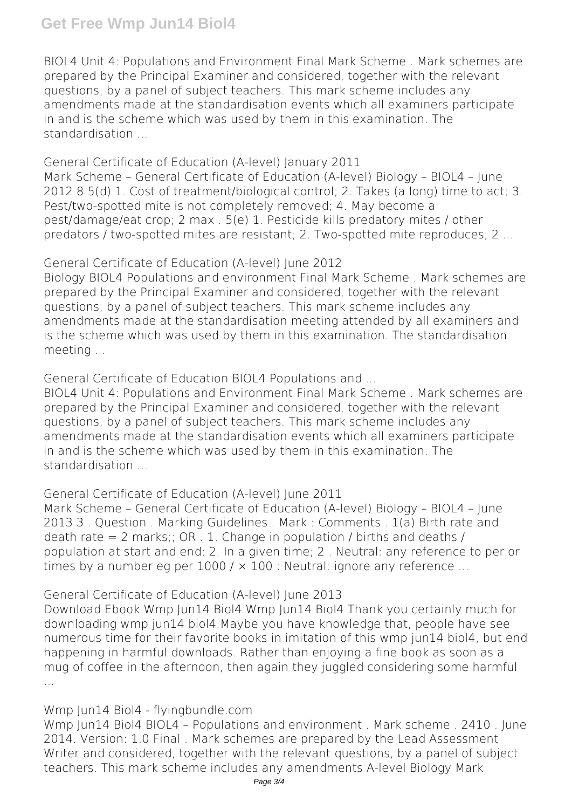# **Get Free Wmp Jun14 Biol4**

BIOL4 Unit 4: Populations and Environment Final Mark Scheme . Mark schemes are prepared by the Principal Examiner and considered, together with the relevant questions, by a panel of subject teachers. This mark scheme includes any amendments made at the standardisation events which all examiners participate in and is the scheme which was used by them in this examination. The standardisation

*General Certificate of Education (A-level) January 2011* Mark Scheme – General Certificate of Education (A-level) Biology – BIOL4 – June 2012 8 5(d) 1. Cost of treatment/biological control; 2. Takes (a long) time to act; 3. Pest/two-spotted mite is not completely removed; 4. May become a pest/damage/eat crop; 2 max . 5(e) 1. Pesticide kills predatory mites / other predators / two-spotted mites are resistant; 2. Two-spotted mite reproduces; 2 ...

*General Certificate of Education (A-level) June 2012*

Biology BIOL4 Populations and environment Final Mark Scheme . Mark schemes are prepared by the Principal Examiner and considered, together with the relevant questions, by a panel of subject teachers. This mark scheme includes any amendments made at the standardisation meeting attended by all examiners and is the scheme which was used by them in this examination. The standardisation meeting ...

*General Certificate of Education BIOL4 Populations and ...*

BIOL4 Unit 4: Populations and Environment Final Mark Scheme . Mark schemes are prepared by the Principal Examiner and considered, together with the relevant questions, by a panel of subject teachers. This mark scheme includes any amendments made at the standardisation events which all examiners participate in and is the scheme which was used by them in this examination. The standardisation ...

*General Certificate of Education (A-level) June 2011*

Mark Scheme – General Certificate of Education (A-level) Biology – BIOL4 – June 2013 3 . Question . Marking Guidelines . Mark : Comments . 1(a) Birth rate and death rate  $= 2$  marks;; OR . 1. Change in population / births and deaths / population at start and end; 2. In a given time; 2 . Neutral: any reference to per or times by a number eg per  $1000 / x 100$  : Neutral: ignore any reference ...

*General Certificate of Education (A-level) June 2013*

Download Ebook Wmp Jun14 Biol4 Wmp Jun14 Biol4 Thank you certainly much for downloading wmp jun14 biol4.Maybe you have knowledge that, people have see numerous time for their favorite books in imitation of this wmp jun14 biol4, but end happening in harmful downloads. Rather than enjoying a fine book as soon as a mug of coffee in the afternoon, then again they juggled considering some harmful

*Wmp Jun14 Biol4 - flyingbundle.com*

Wmp Jun14 Biol4 BIOL4 – Populations and environment . Mark scheme . 2410 . June 2014. Version: 1.0 Final . Mark schemes are prepared by the Lead Assessment Writer and considered, together with the relevant questions, by a panel of subject teachers. This mark scheme includes any amendments A-level Biology Mark